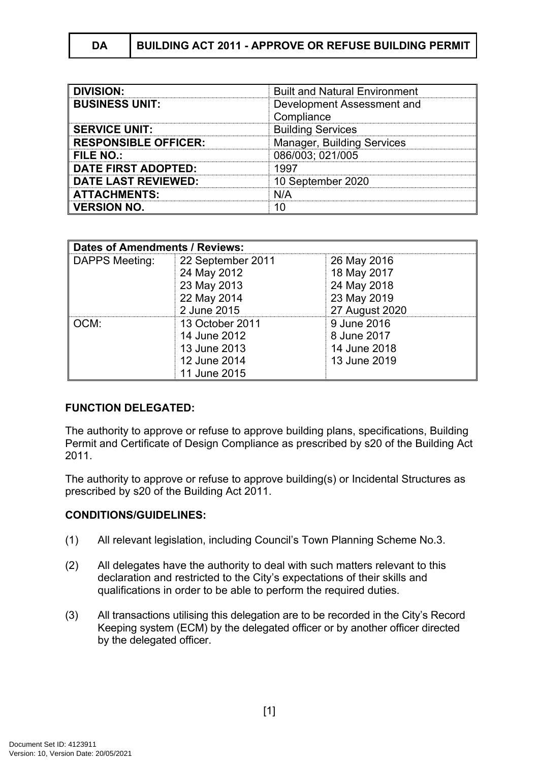| DA | BUILDING ACT 2011 - APPROVE OR REFUSE BUILDING PERMIT |
|----|-------------------------------------------------------|
|    |                                                       |

| <b>DIVISION:</b>            | <b>Built and Natural Environment</b> |
|-----------------------------|--------------------------------------|
| <b>BUSINESS UNIT:</b>       | Development Assessment and           |
|                             | Compliance                           |
| <b>SERVICE UNIT:</b>        | <b>Building Services</b>             |
| <b>RESPONSIBLE OFFICER:</b> | <b>Manager, Building Services</b>    |
| <b>FILE NO.:</b>            | 086/003; 021/005                     |
| <b>DATE FIRST ADOPTED:</b>  | 1997                                 |
| <b>DATE LAST REVIEWED:</b>  | 10 September 2020                    |
| <b>ATTACHMENTS:</b>         | N/A                                  |
| <b>VERSION NO.</b>          |                                      |

| <b>Dates of Amendments / Reviews:</b> |                   |                |  |  |  |
|---------------------------------------|-------------------|----------------|--|--|--|
| DAPPS Meeting:                        | 22 September 2011 | 26 May 2016    |  |  |  |
|                                       | 24 May 2012       | 18 May 2017    |  |  |  |
|                                       | 23 May 2013       | 24 May 2018    |  |  |  |
|                                       | 22 May 2014       | 23 May 2019    |  |  |  |
|                                       | 2 June 2015       | 27 August 2020 |  |  |  |
| OCM:                                  | 13 October 2011   | 9 June 2016    |  |  |  |
|                                       | 14 June 2012      | 8 June 2017    |  |  |  |
|                                       | 13 June 2013      | 14 June 2018   |  |  |  |
|                                       | 12 June 2014      | 13 June 2019   |  |  |  |
|                                       | 11 June 2015      |                |  |  |  |

## **FUNCTION DELEGATED:**

The authority to approve or refuse to approve building plans, specifications, Building Permit and Certificate of Design Compliance as prescribed by s20 of the Building Act 2011.

The authority to approve or refuse to approve building(s) or Incidental Structures as prescribed by s20 of the Building Act 2011.

## **CONDITIONS/GUIDELINES:**

- (1) All relevant legislation, including Council's Town Planning Scheme No.3.
- (2) All delegates have the authority to deal with such matters relevant to this declaration and restricted to the City's expectations of their skills and qualifications in order to be able to perform the required duties.
- (3) All transactions utilising this delegation are to be recorded in the City's Record Keeping system (ECM) by the delegated officer or by another officer directed by the delegated officer.